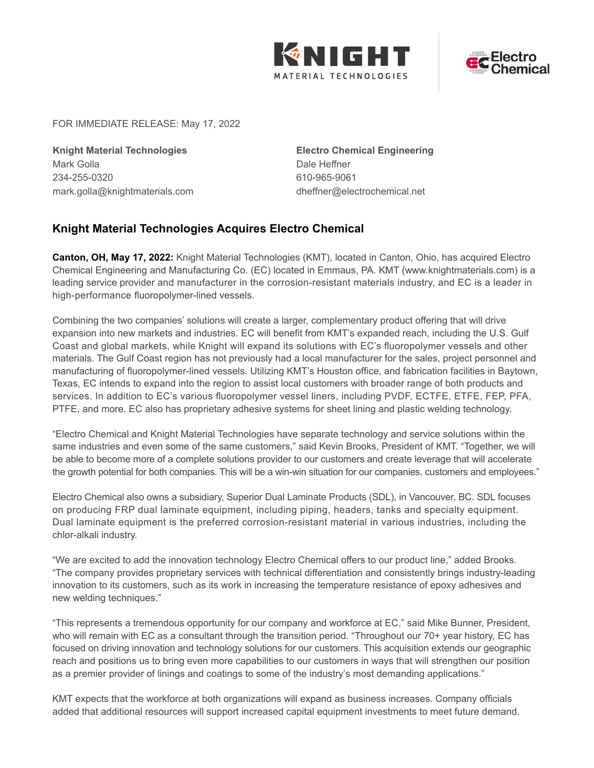



FOR IMMEDIATE RELEASE: May 17, 2022

**Knight Material Technologies** Mark Golla 234-255-0320 mark.golla@knightmaterials.com

**Electro Chemical Engineering** Dale Heffner 610-965-9061 dheffner@electrochemical.net

## **Knight Material Technologies Acquires Electro Chemical**

**Canton, OH, May 17, 2022:** Knight Material Technologies (KMT), located in Canton, Ohio, has acquired Electro Chemical Engineering and Manufacturing Co. (EC) located in Emmaus, PA. KMT (www.knightmaterials.com) is a leading service provider and manufacturer in the corrosion-resistant materials industry, and EC is a leader in high-performance fluoropolymer-lined vessels.

Combining the two companies' solutions will create a larger, complementary product offering that will drive expansion into new markets and industries. EC will benefit from KMT's expanded reach, including the U.S. Gulf Coast and global markets, while Knight will expand its solutions with EC's fluoropolymer vessels and other materials. The Gulf Coast region has not previously had a local manufacturer for the sales, project personnel and manufacturing of fluoropolymer-lined vessels. Utilizing KMT's Houston office, and fabrication facilities in Baytown, Texas, EC intends to expand into the region to assist local customers with broader range of both products and services. In addition to EC's various fluoropolymer vessel liners, including PVDF, ECTFE, ETFE, FEP, PFA, PTFE, and more. EC also has proprietary adhesive systems for sheet lining and plastic welding technology.

"Electro Chemical and Knight Material Technologies have separate technology and service solutions within the same industries and even some of the same customers," said Kevin Brooks, President of KMT. "Together, we will be able to become more of a complete solutions provider to our customers and create leverage that will accelerate the growth potential for both companies. This will be a win-win situation for our companies, customers and employees."

Electro Chemical also owns a subsidiary, Superior Dual Laminate Products (SDL), in Vancouver, BC. SDL focuses on producing FRP dual laminate equipment, including piping, headers, tanks and specialty equipment. Dual laminate equipment is the preferred corrosion-resistant material in various industries, including the chlor-alkali industry.

"We are excited to add the innovation technology Electro Chemical offers to our product line," added Brooks. "The company provides proprietary services with technical differentiation and consistently brings industry-leading innovation to its customers, such as its work in increasing the temperature resistance of epoxy adhesives and new welding techniques."

"This represents a tremendous opportunity for our company and workforce at EC," said Mike Bunner, President, who will remain with EC as a consultant through the transition period. "Throughout our 70+ year history, EC has focused on driving innovation and technology solutions for our customers. This acquisition extends our geographic reach and positions us to bring even more capabilities to our customers in ways that will strengthen our position as a premier provider of linings and coatings to some of the industry's most demanding applications."

KMT expects that the workforce at both organizations will expand as business increases. Company officials added that additional resources will support increased capital equipment investments to meet future demand.